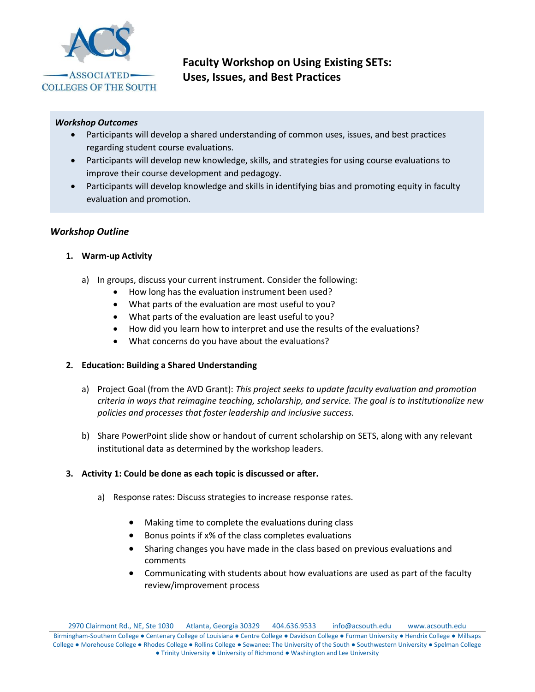

# **Faculty Workshop on Using Existing SETs: Uses, Issues, and Best Practices**

#### *Workshop Outcomes*

- Participants will develop a shared understanding of common uses, issues, and best practices regarding student course evaluations.
- Participants will develop new knowledge, skills, and strategies for using course evaluations to improve their course development and pedagogy.
- Participants will develop knowledge and skills in identifying bias and promoting equity in faculty evaluation and promotion.

## *Workshop Outline*

## **1. Warm-up Activity**

- a) In groups, discuss your current instrument. Consider the following:
	- How long has the evaluation instrument been used?
	- What parts of the evaluation are most useful to you?
	- What parts of the evaluation are least useful to you?
	- How did you learn how to interpret and use the results of the evaluations?
	- What concerns do you have about the evaluations?

#### **2. Education: Building a Shared Understanding**

- a) Project Goal (from the AVD Grant): *This project seeks to update faculty evaluation and promotion criteria in ways that reimagine teaching, scholarship, and service. The goal is to institutionalize new policies and processes that foster leadership and inclusive success.*
- b) Share PowerPoint slide show or handout of current scholarship on SETS, along with any relevant institutional data as determined by the workshop leaders.

#### **3. Activity 1: Could be done as each topic is discussed or after.**

- a) Response rates: Discuss strategies to increase response rates.
	- Making time to complete the evaluations during class
	- Bonus points if x% of the class completes evaluations
	- Sharing changes you have made in the class based on previous evaluations and comments
	- Communicating with students about how evaluations are used as part of the faculty review/improvement process